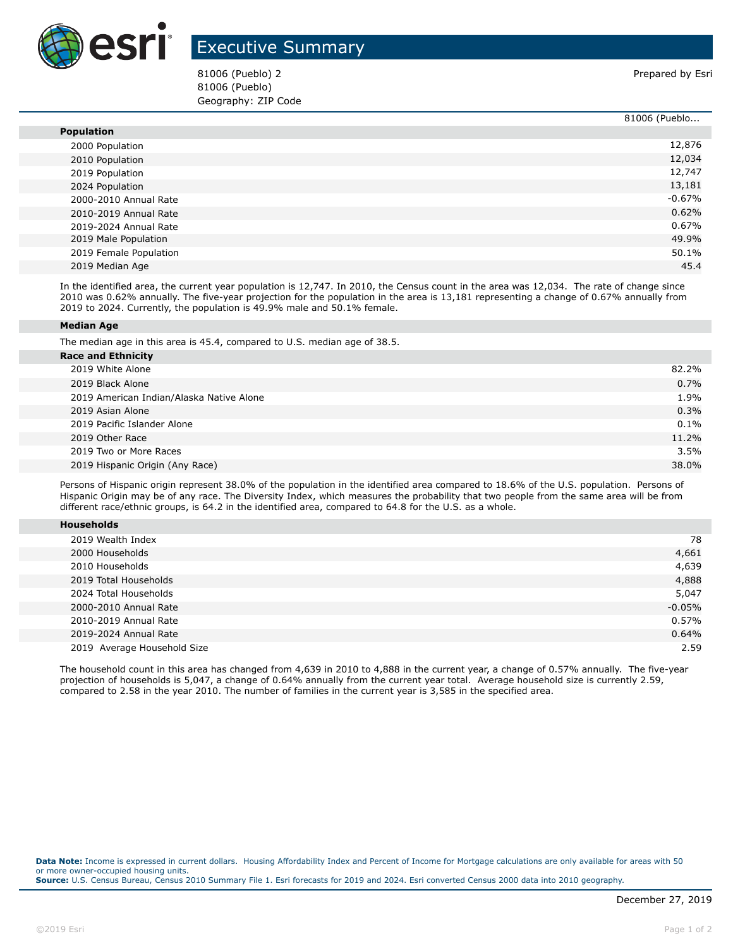

## Executive Summary

81006 (Pueblo) 2 Prepared by Esri 81006 (Pueblo) Geography: ZIP Code

|                        | 81006 (Pueblo |
|------------------------|---------------|
| <b>Population</b>      |               |
| 2000 Population        | 12,876        |
| 2010 Population        | 12,034        |
| 2019 Population        | 12,747        |
| 2024 Population        | 13,181        |
| 2000-2010 Annual Rate  | $-0.67%$      |
| 2010-2019 Annual Rate  | 0.62%         |
| 2019-2024 Annual Rate  | 0.67%         |
| 2019 Male Population   | 49.9%         |
| 2019 Female Population | 50.1%         |
| 2019 Median Age        | 45.4          |

In the identified area, the current year population is 12,747. In 2010, the Census count in the area was 12,034. The rate of change since 2010 was 0.62% annually. The five-year projection for the population in the area is 13,181 representing a change of 0.67% annually from 2019 to 2024. Currently, the population is 49.9% male and 50.1% female.

## **Median Age**

The median age in this area is 45.4, compared to U.S. median age of 38.5.

| <b>Race and Ethnicity</b>                |         |
|------------------------------------------|---------|
| 2019 White Alone                         | 82.2%   |
| 2019 Black Alone                         | 0.7%    |
| 2019 American Indian/Alaska Native Alone | 1.9%    |
| 2019 Asian Alone                         | 0.3%    |
| 2019 Pacific Islander Alone              | $0.1\%$ |
| 2019 Other Race                          | 11.2%   |
| 2019 Two or More Races                   | 3.5%    |
| 2019 Hispanic Origin (Any Race)          | 38.0%   |
|                                          |         |

Persons of Hispanic origin represent 38.0% of the population in the identified area compared to 18.6% of the U.S. population. Persons of Hispanic Origin may be of any race. The Diversity Index, which measures the probability that two people from the same area will be from different race/ethnic groups, is 64.2 in the identified area, compared to 64.8 for the U.S. as a whole.

| <b>Households</b> |
|-------------------|
|-------------------|

| 2019 Wealth Index           | 78       |
|-----------------------------|----------|
| 2000 Households             | 4,661    |
| 2010 Households             | 4,639    |
| 2019 Total Households       | 4,888    |
| 2024 Total Households       | 5,047    |
| 2000-2010 Annual Rate       | $-0.05%$ |
| 2010-2019 Annual Rate       | 0.57%    |
| 2019-2024 Annual Rate       | 0.64%    |
| 2019 Average Household Size | 2.59     |

The household count in this area has changed from 4,639 in 2010 to 4,888 in the current year, a change of 0.57% annually. The five-year projection of households is 5,047, a change of 0.64% annually from the current year total. Average household size is currently 2.59, compared to 2.58 in the year 2010. The number of families in the current year is 3,585 in the specified area.

**Data Note:** Income is expressed in current dollars. Housing Affordability Index and Percent of Income for Mortgage calculations are only available for areas with 50 or more owner-occupied housing units. **Source:** U.S. Census Bureau, Census 2010 Summary File 1. Esri forecasts for 2019 and 2024. Esri converted Census 2000 data into 2010 geography.